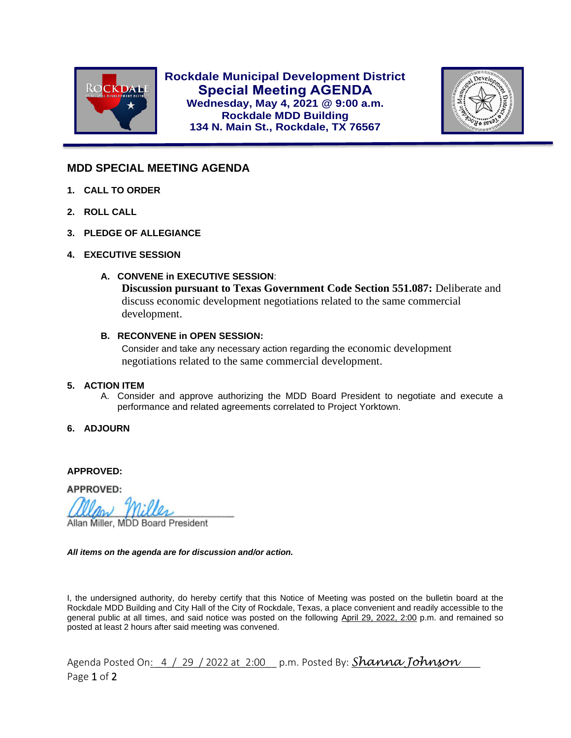

**Rockdale Municipal Development District Special Meeting AGENDA Wednesday, May 4, 2021 @ 9:00 a.m. Rockdale MDD Building 134 N. Main St., Rockdale, TX 76567**



## **MDD SPECIAL MEETING AGENDA**

- **1. CALL TO ORDER**
- **2. ROLL CALL**

l

- **3. PLEDGE OF ALLEGIANCE**
- **4. EXECUTIVE SESSION**
	- **A. CONVENE in EXECUTIVE SESSION**:

**Discussion pursuant to Texas Government Code Section 551.087:** Deliberate and discuss economic development negotiations related to the same commercial development.

## **B. RECONVENE in OPEN SESSION:**

Consider and take any necessary action regarding the economic development negotiations related to the same commercial development.

## **5. ACTION ITEM**

- A. Consider and approve authorizing the MDD Board President to negotiate and execute a performance and related agreements correlated to Project Yorktown.
- **6. ADJOURN**

**APPROVED:**

**APPROVED:** 

Allan Miller, MDD Board President

## *All items on the agenda are for discussion and/or action.*

I, the undersigned authority, do hereby certify that this Notice of Meeting was posted on the bulletin board at the Rockdale MDD Building and City Hall of the City of Rockdale, Texas, a place convenient and readily accessible to the general public at all times, and said notice was posted on the following April 29, 2022, 2:00 p.m. and remained so posted at least 2 hours after said meeting was convened.

Agenda Posted On<u>: \_4 \ \_29 \ 2022 at \_2:00\_\_</u> p.m. Posted By: **Shanna Johnson** Page 1 of 2